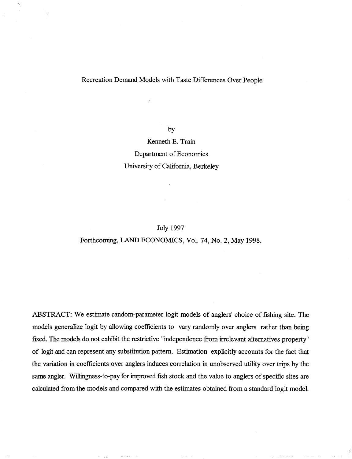# Recreation Demand Models with Taste Differences Over People

ý

by

Kenneth E. Train Department of Economics University of California, Berkeley

## July 1997

## Forthcoming, LAND ECONOMICS, Vol. 74, No. 2, May 1998.

ABSTRACT: We estimate random-parameter logit models of anglers' choice of fishing site. The models generalize logit by allowing coefficients to vary randomly over anglers rather than being fixed. The models do not exhibit the restrictive "independence from irrelevant alternatives property" of logit and can represent any substitution pattern. Estimation explicitly accounts for the fact that the variation in coefficients over anglers induces correlation in unobserved utility over trips by the same angler. Willingness-to-pay for improved fish stock and the value to anglers of specific sites are calculated from the models and compared with the estimates obtained from a standard logit model.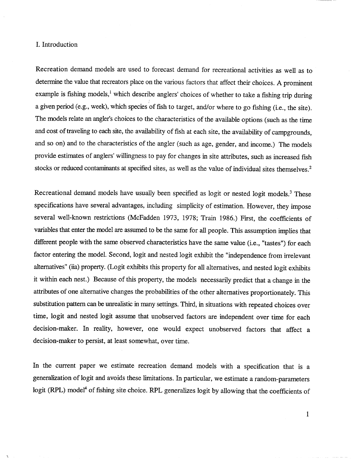# I. Introduction

Recreation demand models are used to forecast demand for recreational activities as well as to determine the value that recreators place on the various factors that affect their choices. A prominent example is fishing models,<sup>1</sup> which describe anglers' choices of whether to take a fishing trip during a given period (e.g., week), which species of fish to target, and/or where to go fishing (i.e., the site). The models relate an angler's choices to the characteristics of the available options (such as the time and cost of traveling to each site, the availability of fish at each site, the availability of campgrounds and so on) and to the characteristics of the angler (such as age, gender, and income.) The models provide estimates of anglers' willingness to pay for changes in site attributes, such as increased fish stocks or reduced contaminants at specified sites, as well as the value of individual sites themselves.<sup>2</sup>

Recreational demand models have usually been specified as logit or nested logit models.<sup>3</sup> These specifications have several advantages, including simplicity of estimation. However, they impose several well-known restrictions (McFadden 1973, 1978; Train 1986.) First, the coefficients of variables that enter the model are assumed to be the same for all people. This assumption implies that different people with the same observed characteristics have the same value (i.e., "tastes") for each factor entering the model. Second, logit and nested logit exhibit the "independence from irrelevant alternatives" (iia) property. (Logit exhibits this property for all alternatives, and nested logit exhibits it within each nest.) Because of this property, the models necessarily predict that a change in the attributes of one alternative changes the probabilities of the other alternatives proportionately. This substitution pattern can be unrealistic in many settings. Third, in situations with repeated choices over time, logit and nested logit assume that unobserved factors are independent over time for each decision-maker. In reality, however, one would expect unobserved factors that affect a decision-maker to persist, at least somewhat, over time.

In the current paper we estimate recreation demand models with a specification that is a generalization of logit and avoids these limitations. In particular, we estimate a random-parameters logit (RPL) model<sup>4</sup> of fishing site choice. RPL generalizes logit by allowing that the coefficients of

 $\mathbf{1}$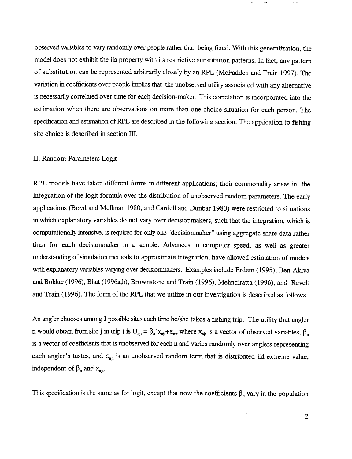observed variables to vary randomly over people rather than being fixed. With this generalization, the model does not exhibit the iia property with its restrictive substitution patterns. In fact, any pattern of substitution can be represented arbitrarily closely by an RPL (McFadden and Train 1997). The variation in coefficients over people implies that the unobserved utility associated with any alternative is necessarily correlated over time for each decision-maker. This correlation is incorporated into the estimation when there are observations on more than one choice situation for each person. The specification and estimation of RPL are described in the following section. The application to fishing site choice is described in section III.

## II. Random-Parameters Logit

RPL models have taken different forms in different applications; their commonality arises in the integration of the logit formula over the distribution of unobserved random parameters. The early applications (Boyd and Mellman 1980, and Cardell and Dunbar 1980) were restricted to situations in which explanatory variables do not vary over decisionmakers, such that the integration, which is cornputationally intensive, is required for only one "decisionmaker" using aggregate share data rather than for each decisionmaker in a sample. Advances in computer speed, as well as greater understanding of simulation methods to approximate integration, have allowed estimation of models with explanatory variables varying over decisionmakers. Examples include Erdem (1995), Ben-Akiva and Bolduc (1996), Bhat (1996a,b), Brownstone and Train (1996), Mehndiratta (1996), and Revelt and Train (1996). The form of the RPL that we utilize in our investigation is described as follows.

An angler chooses among J possible sites each time he/she takes a fishing trip. The utility that angler n would obtain from site j in trip t is  $U_{njt} = \beta_n' x_{njt} + \epsilon_{njt}$  where  $x_{njt}$  is a vector of observed variables,  $\beta_n$ is a vector of coefficients that is unobserved for each n and varies randomly over anglers representing each angler's tastes, and  $\epsilon_{\text{njt}}$  is an unobserved random term that is distributed iid extreme value, independent of  $\beta_n$  and  $x_{nit}$ .

This specification is the same as for logit, except that now the coefficients  $\beta_n$  vary in the population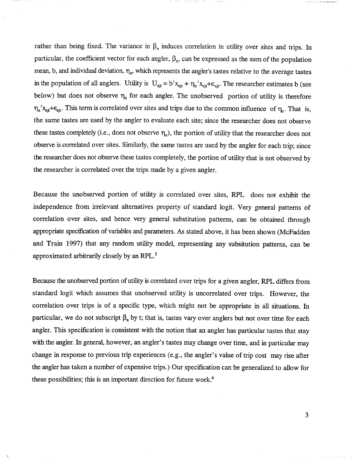rather than being fixed. The variance in  $\beta_n$  induces correlation in utility over sites and trips. In particular, the coefficient vector for each angler,  $\beta_n$ , can be expressed as the sum of the population mean, b, and individual deviation,  $\eta_n$ , which represents the angler's tastes relative to the average tastes in the population of all anglers. Utility is  $U_{njt} = b' x_{njt} + \eta_n' x_{njt} + \epsilon_{njt}$ . The researcher estimates b (see below) but does not observe  $\eta_n$  for each angler. The unobserved portion of utility is therefore  $\eta_n' x_{njt} + \epsilon_{njt}$ . This term is correlated over sites and trips due to the common influence of  $\eta_n$ . That is, the same tastes are used by the angler to evaluate each site; since the researcher does not observe these tastes completely (i.e., does not observe  $\eta_n$ ), the portion of utility that the researcher does not observe is correlated over sites. Similarly, the same tastes are used by the angler for each trip; since the researcher does not observe these tastes completely, the portion of utility that is not observed by the researcher is correlated over the trips made by a given angler.

Because the unobserved portion of utility is correlated over sites, RPL does not exhibit the independence from irrelevant alternatives property of standard logit. Very general patterns of correlation over sites, and hence very general substitution patterns, can be obtained through appropriate specification of variables and parameters. As stated above, it has been shown (McFadden and Train 1997) that any random utility model, representing any subsitution patterns, can be approximated arbitrarily closely by an RPL.<sup>5</sup>

Because the unobserved portion of utility is correlated over trips for a given angler, RPL differs from standard logit which assumes that unobserved utility is uncorrelated over trips. However, the correlation over trips is of a specific type, which might not be appropriate in all situations. In particular, we do not subscript  $\beta_n$  by t; that is, tastes vary over anglers but not over time for each angler. This specification is consistent with the notion that an angler has particular tastes that stay with the angler. In general, however, an angler's tastes may change over time, and in particular may change in response to previous trip experiences (e.g., the angler's value of trip cost may rise after the angler has taken a number of expensive trips.) Our specification can be generalized to allow for these possibilities; this is an important direction for future work.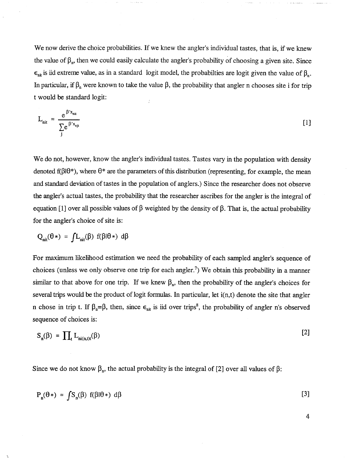We now derive the choice probabilities. If we knew the angler's individual tastes, that is, if we knew the value of  $\beta_n$ , then we could easily calculate the angler's probability of choosing a given site. Since  $\epsilon_{ni}$  is iid extreme value, as in a standard logit model, the probabilties are logit given the value of  $\beta_{n}$ . In particular, if  $\beta_n$  were known to take the value  $\beta$ , the probability that angler n chooses site i for trip t would be standard logit:

$$
L_{\rm nit} = \frac{e^{\beta' x_{\rm nit}}}{\sum_{i} e^{\beta' x_{\rm nit}}} \tag{1}
$$

We do not, however, know the angler's individual tastes. Tastes vary in the population with density denoted  $f(\beta|\theta^*)$ , where  $\theta^*$  are the parameters of this distribution (representing, for example, the mean and standard deviation of tastes in the population of anglers.) Since the researcher does not observe the angler's actual tastes, the probability that the researcher ascribes for the angler is the integral of equation [1] over all possible values of  $\beta$  weighted by the density of  $\beta$ . That is, the actual probability for the angler's choice of site is:

$$
Q_{nit}(\theta*) = fL_{nit}(\beta) f(\beta|\theta*) d\beta
$$

For maximum likelihood estimation we need the probability of each sampled angler's sequence of choices (unless we only observe one trip for each angler.<sup>7</sup>) We obtain this probability in a manner similar to that above for one trip. If we knew  $\beta_n$ , then the probability of the angler's choices for several trips would be the product of logit formulas. In particular, let  $i(n, t)$  denote the site that angler n chose in trip t. If  $\beta_n = \beta$ , then, since  $\epsilon_{n,i}$  is iid over trips<sup>8</sup>, the probability of angler n's observed sequence of choices is:

$$
S_n(\beta) = \prod_t L_{ni(n,t)t}(\beta)
$$

Since we do not know  $\beta_n$ , the actual probability is the integral of [2] over all values of  $\beta$ :

$$
P_n(\theta*) = \int S_n(\beta) f(\beta|\theta*) d\beta
$$
 [3]

 $\overline{4}$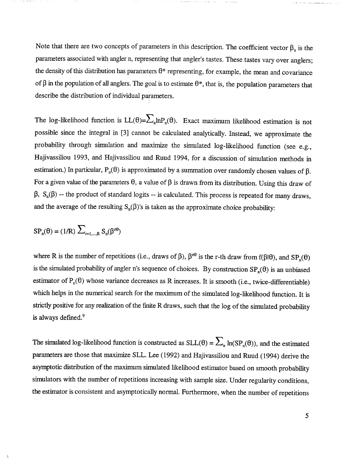Note that there are two concepts of parameters in this description. The coefficient vector  $\beta_n$  is the parameters associated with angler n, representing that angler's tastes. These tastes vary over anglers; the density of this distribution has parameters  $\theta^*$  representing, for example, the mean and covariance of  $\beta$  in the population of all anglers. The goal is to estimate  $\theta^*$ , that is, the population parameters that describe the distribution of individual parameters.

The log-likelihood function is  $LL(\theta) = \sum_{n} ln P_n(\theta)$ . Exact maximum likelihood estimation is not possible since the integral in (3) cannot be calculated analytically. Instead, we approximate the probability through simulation and maximize the simulated log-likelihood function (see e.g., Hajivassiliou 1993, and Hajivassiliou and Ruud 1994, for a discussion of simulation methods in estimation.) In particular,  $P_n(\theta)$  is approximated by a summation over randomly chosen values of  $\beta$ . For a given value of the parameters  $\theta$ , a value of  $\beta$  is drawn from its distribution. Using this draw of  $\beta$ ,  $S_n(\beta)$  -- the product of standard logits -- is calculated. This process is repeated for many draws. and the average of the resulting  $S_n(\beta)$ 's is taken as the approximate choice probability:

$$
SP_n(\theta) = (1/R) \sum_{r=1,\dots,R} S_n(\beta^{r\theta})
$$

where R is the number of repetitions (i.e., draws of  $\beta$ ),  $\beta^{10}$  is the r-th draw from  $f(\beta|\theta)$ , and  $SP_n(\theta)$ is the simulated probability of angler n's sequence of choices. By construction  $SP_n(\theta)$  is an unbiased estimator of  $P_n(\theta)$  whose variance decreases as R increases. It is smooth (i.e., twice-differentiable) which helps in the numerical search for the maximum of the simulated log-likelihood function. It is strictly positive for any realization of the finite R draws, such that the log of the simulated probability is always defined.<sup>9</sup>

The simulated log-likelihood function is constructed as  $SLL(\theta) = \sum_{n} ln(SP_n(\theta))$ , and the estimated parameters are those that maximize SLL. Lee (1992) and Hajivassiliou and Ruud (1994) derive the asymptotic distribution of the maximum simulated likelihood estimator based on smooth probability simulators with the number of repetitions increasing with sample size. Under regularity conditions the estimator is consistent and asymptotically normal. Furthermore, when the number of repetitions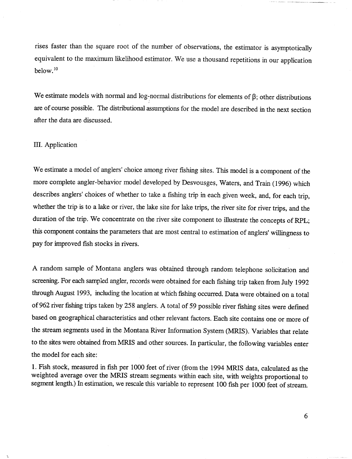rises faster than the square root of the number of observations, the estimator is asymptotically equivalent to the maximum likelihood estimator. We use a thousand repetitions in our application below. 10

We estimate models with normal and log-normal distributions for elements of  $\beta$ ; other distributions are of course possible. The distributional assumptions for the model are described in the next section after the data are discussed.

## III. Application

We estimate a model of anglers' choice among river fishing sites. This model is a component of the more complete angler-behavior model developed by Desvousges, Waters, and Train (1996) which describes anglers' choices of whether to take a fishing trip in each given week , and, for each trip, whether the trip is to a lake or river, the lake site for lake trips, the river site for river trips, and the duration of the trip. We concentrate on the river site component to illustrate the concepts of RPL; this component contains the parameters that are most central to estimation of anglers' willingness to pay for improved fish stocks in rivers.

A random sample of Montana anglers was obtained through random telephone solicitation and screening. For each sampled angler, records were obtained for each fishing trip taken from July 1992 through August 1993, including the location at which fishing occurred. Data were obtained on a total of 962 river fishing trips taken by 258 anglers. A total of 59 possible river fishing sites were defmed based on geographical characteristics and other relevant factors. Each site contains one or more of the stream segments used in the Montana River Information System (MRIS). Variables that relate to the sites were obtained from MRIS and other sources. In particular, the following variables enter the model for each site:

1. Fish stock, measured in fish per 1000 feet of river (from the 1994 MRIS data, calculated as the weighted average over the MRIS stream segments within each site, with weights proportional to segment length.) In estimation, we rescale this variable to represent 100 fish per 1000 feet of stream.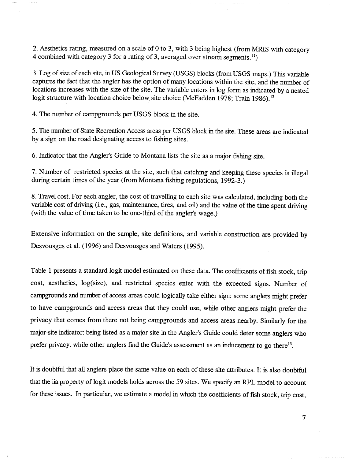2. Aesthetics rating, measured on a scale of 0 to 3, with 3 being highest (from MRIS with category 4 combined with category 3 for a rating of 3, averaged over stream segments.<sup>11</sup>)

3. Log of size of each site, in US Geological Survey (USGS) blocks (from USGS maps.) This variable captures the fact that the angler has the option of many locations within the site, and the number of locations increases with the size of the site. The variable enters in log form as indicated by a nested logit structure with location choice below, site choice (McFadden 1978; Train 1986).<sup>12</sup>

4. The number of campgrounds per USGS block in the site.

5. The number of State Recreation Access areas per USGS block in the site. These areas are indicated by a sign on the road designating access to fishing sites.

6. Indicator that the Angler's Guide to Montana lists the site as a major fishing site.

7. Number of restricted species at the site, such that catching and keeping these species is illegal during certain times of the year (from Montana fishing regulations, 1992-3.)

8. Travel cost. For each angler, the cost of travelling to each site was calculated, including both the variable cost of driving (i.e., gas, maintenance, tires, and oil) and the value of the time spent driving (with the value of time taken to be one-third of the angler's wage.)

Extensive information on the sample, site defmitions, and variable construction are provided by Desvousges et al. (1996) and Desvousges and Waters (1995).

Table 1 presents a standard logit model estimated on these data. The coefficients of fish stock, trip cost, aesthetics, log(size), and restricted species enter with the expected signs. Number of campgrounds and number of access areas could logically take either sign: some anglers might prefer to have campgrounds and access areas that they could use, while other anglers might prefer the privacy that comes from there not being campgrounds and access areas nearby. Similarly for the major-site indicator: being listed as a major site in the Angler's Guide could deter some anglers who prefer privacy, while other anglers find the Guide's assessment as an inducement to go there<sup>13</sup>.

It is doubtful that all anglers place the same value on each of these site attributes. It is also doubtful that the iia property of logit models holds across the 59 sites. We specify an RPL model to account for these issues. In particular, we estimate a model in which the coefficients of fish stock, trip cost

 $\label{eq:3} \mathcal{L}^{\mathcal{L}}(\mathcal{L}^{\mathcal{L}}(\mathcal{L}^{\mathcal{L}}(\mathcal{L}^{\mathcal{L}}(\mathcal{L}^{\mathcal{L}}(\mathcal{L}^{\mathcal{L}}(\mathcal{L}^{\mathcal{L}}(\mathcal{L}^{\mathcal{L}}(\mathcal{L}^{\mathcal{L}}(\mathcal{L}^{\mathcal{L}}(\mathcal{L}^{\mathcal{L}}(\mathcal{L}^{\mathcal{L}}(\mathcal{L}^{\mathcal{L}}(\mathcal{L}^{\mathcal{L}}(\mathcal{L}^{\mathcal{L}}(\mathcal{L}^{\mathcal{L}}(\mathcal{L$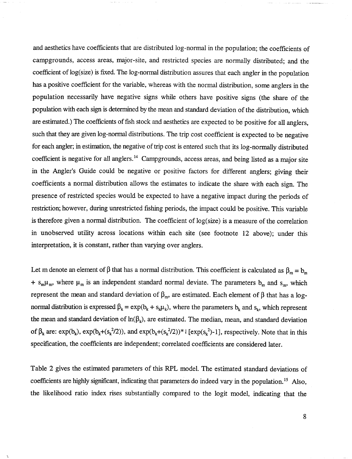and aesthetics have coefficients that are distributed log-normal in the population; the coefficients of campgrounds, access areas, major-site, and restricted species are normally distributed; and the coefficient of log(size) is fixed. The log-normal distribution assures that each angler in the population has a positive coefficient for the variable, whereas with the normal distribution, some anglers in the population necessarily have negative signs while others have positive signs (the share of the population with each sign is determined by the mean and standard deviation of the distribution, which are estimated.) The coefficients of fish stock and aesthetics are expected to be positive for all anglers, such that they are given log-normal distributions. The trip cost coefficient is expected to be negative for each angler; in estimation, the negative of trip cost is entered such that its log-normally distributed coefficient is negative for all anglers.<sup>14</sup> Campgrounds, access areas, and being listed as a major site in the Angler's Guide could be negative or positive factors for different anglers; giving their coefficients a normal distribution allows the estimates to indicate the share with each sign. The presence of restricted species would be expected to have a negative impact during the periods of restriction; however, during unrestricted fishing periods, the impact could be positive. This variable is therefore given a normal distribution. The coefficient of  $log(size)$  is a measure of the correlation in unobserved utility across locations within each site (see footnote 12 above); under this interpretation, it is constant, rather than varying over anglers.

Let m denote an element of  $\beta$  that has a normal distribution. This coefficient is calculated as  $\beta_m = b_m$ +  $s_m \mu_m$ , where  $\mu_m$  is an independent standard normal deviate. The parameters  $b_m$  and  $s_m$ , which represent the mean and standard deviation of  $\beta_m$ , are estimated. Each element of  $\beta$  that has a lognormal distribution is expressed  $\beta_k = \exp(b_k + s_k \mu_k)$ , where the parameters  $b_k$  and  $s_k$ , which represent the mean and standard deviation of  $ln(\beta_k)$ , are estimated. The median, mean, and standard deviation of  $\beta_k$  are:  $\exp(b_k)$ ,  $\exp(b_k+(s_k^2/2))$ , and  $\exp(b_k+(s_k^2/2))^*$  [ $\exp(s_k^2)-1$ ], respectively. Note that in this specification, the coefficients are independent; correlated coefficients are considered later.

Table 2 gives the estimated parameters of this RPL model. The estimated standard deviations of coefficients are highly significant, indicating that parameters do indeed vary in the population.<sup>15</sup> Also, the likelihood ratio index rises substantially compared to the logit model, indicating that the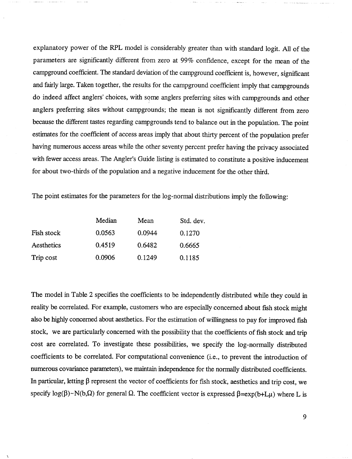explanatory power of the RPL model is considerably greater than with standard logit. All of the parameters are significantly different from zero at 99% confidence, except for the mean of the campground coefficient. The standard deviation of the campground coefficient is , however, significant and fairly large. Taken together, the results for the campground coefficient imply that campgrounds do indeed affect anglers' choices, with some anglers preferring sites with campgrounds and other anglers preferring sites without campgrounds; the mean is not significantly different from zero because the different tastes regarding campgrounds tend to balance out in the population. The point estimates for the coefficient of access areas imply that about thirty percent of the population prefer having numerous access areas while the other seventy percent prefer having the privacy associated with fewer access areas. The Angler's Guide listing is estimated to constitute a positive inducement for about two-thirds of the population and a negative inducement for the other third.

The point estimates for the parameters for the log-normal distributions imply the following:

|            | Median | Mean   | Std. dev. |
|------------|--------|--------|-----------|
| Fish stock | 0.0563 | 0.0944 | 0.1270    |
| Aesthetics | 0.4519 | 0.6482 | 0.6665    |
| Trip cost  | 0.0906 | 0.1249 | 0.1185    |

The model in Table 2 specifies the coefficients to be independently distributed while they could in reality be correlated. For example, customers who are especially concerned about fish stock might also be highly concerned about aesthetics. For the estimation of willingness to pay for improved fish stock, we are particularly concerned with the possibility that the coefficients of fish stock and trip cost are correlated. To investigate these possibilities, we specify the log-normally distributed coefficients to be correlated. For computational convenience (i.e., to prevent the introduction of numerous covariance parameters), we maintain independence for the normally distributed coefficients. In particular, letting  $\beta$  represent the vector of coefficients for fish stock, aesthetics and trip cost, we specify log( $\beta$ )~N(b, $\Omega$ ) for general  $\Omega$ . The coefficient vector is expressed  $\beta$ =exp(b+L $\mu$ ) where L is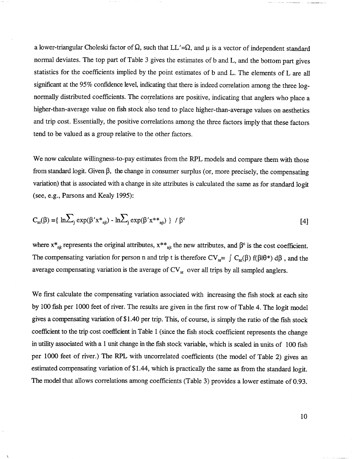a lower-triangular Choleski factor of  $\Omega$ , such that LL'= $\Omega$ , and  $\mu$  is a vector of independent standard normal deviates. The top part of Table 3 gives the estimates of band L, and the bottom part gives statistics for the coefficients implied by the point estimates of band L. The elements of L are all significant at the 95% confidence level, indicating that there is indeed correlation among the three lognormally distributed coefficients. The correlations are positive, indicating that anglers who place a higher-than-average value on fish stock also tend to place higher-than-average values on aesthetics and trip cost. Essentially, the positive correlations among the three factors imply that these factors tend to be valued as a group relative to the other factors.

We now calculate willingness-to-pay estimates from the RPL models and compare them with those from standard logit. Given  $\beta$ , the change in consumer surplus (or, more precisely, the compensating variation) that is associated with a change in site attributes is calculated the same as for standard logit (see, e.g., Parsons and Kealy 1995):

$$
C_{nt}(\beta) = \{ \ln \sum_{j} \exp(\beta' x^*_{nj}) - \ln \sum_{j} \exp(\beta' x^{**}_{nj}) \} / \beta^c
$$
 [4]

where  $x^*_{njt}$  represents the original attributes,  $x^{**}_{njt}$  the new attributes, and  $\beta^c$  is the cost coefficient. The compensating variation for person n and trip t is therefore  $CV_{nt} = \int C_{nt}(\beta) f(\beta|\theta^*) d\beta$ , and the average compensating variation is the average of  $CV_{nt}$  over all trips by all sampled anglers.

We first calculate the compensating variation associated with increasing the fish stock at each site by 100 fish per 1000 feet of river. The results are given in the first row of Table 4. The logit model gives a compensating variation of \$1.40 per trip. This, of course, is simply the ratio of the fish stock coefficient to the trip cost coefficient in Table 1 (since the fish stock coefficient represents the change in utility associated with a 1 unit change in the fish stock variable, which is scaled in units of 100 fish per 1000 feet of river.) The RPL with uncorrelated coefficients (the model of Table 2) gives an estimated compensating variation of \$1.44, which is practically the same as from the standard logit. The model that allows correlations among coefficients (Table 3) provides a lower estimate of 0.93.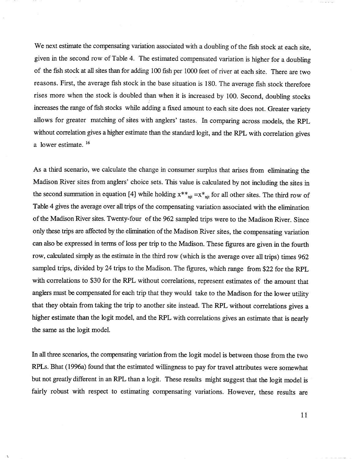We next estimate the compensating variation associated with a doubling of the fish stock at each site. given in the second row of Table 4. The estimated compensated variation is higher for a doubling of the fish stock at all sites than for adding 100 fish per 1000 feet of river at each site. There are two reasons. First, the average fish stock in the base situation is 180. The average fish stock therefore rises more when the stock is doubled than when it is increased by 100. Second, doubling stocks increases the range of fish stocks while adding a fixed amount to each site does not. Greater variety allows for greater matching of sites with anglers' tastes. In comparing across models, the RPL without correlation gives a higher estimate than the standard logit, and the RPL with correlation gives a lower estimate.<sup>16</sup>

As a third scenario, we calculate the change in consumer surplus that arises from eliminating the Madison River sites from anglers' choice sets. This value is calculated by not including the sites in the second summation in equation [4] while holding  $x^{**}$ <sub>njt</sub> = $x^*$ <sub>njt</sub> for all other sites. The third row of Table 4 gives the average over all trips of the compensating variation associated with the elimination of the Madison River sites. Twenty-four of the 962 sampled trips were to the Madison River. Since only these trips are affected by the elimination of the Madison River sites, the compensating variation can also be expressed in terms of loss per trip to the Madison. These figures are given in the fourth row, calculated simply as the estimate in the third row (which is the average over all trips) times 962 sampled trips, divided by 24 trips to the Madison. The figures, which range from \$22 for the RPL with correlations to \$30 for the RPL without correlations, represent estimates of the amount that anglers must be compensated for each trip that they would take to the Madison for the lower utility that they obtain from taking the trip to another site instead. The RPL without correlations gives a higher estimate than the logit model, and the RPL with correlations gives an estimate that is nearly the same as the logit model.

In all three scenarios, the compensating variation from the logit model is between those from the two RPLs. Bhat (1996a) found that the estimated willingness to pay for travel attributes were somewhat but not greatly different in an RPL than a logit. These results might suggest that the logit model is fairly robust with respect to estimating compensating variations. However, these results are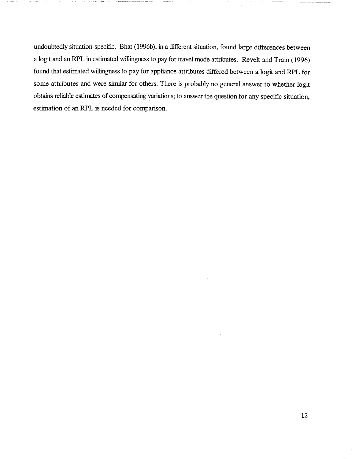undoubtedly situation-specific. Bhat (1996b), in a different situation, found large differences between a logit and an RPL in estimated willingness to pay for travel mode attributes. Revelt and Train (1996) found that estimated willingness to pay for appliance attributes differed between a logit and RPL for some attributes and were similar for others. There is probably no general answer to whether logit obtains reliable estimates of compensating variations; to answer the question for any specific situation, estimation of an RPL is needed for comparison.

\_.\_--\_.\_----- \_-~-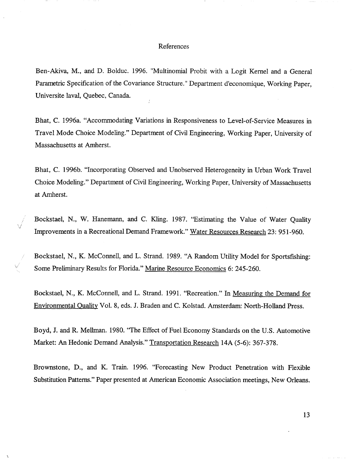#### References

Ben-Akiva, M., and D. Bolduc. 1996. "Multinomial Probit with a Logit Kernel and a General Parametric Specification of the Covariance Structure." Department d'economique, Working Paper Universite laval, Quebec, Canada.

Bhat, C. 1996a. "Accommodating Variations in Responsiveness to Level-of-Service Measures in Travel Mode Choice Modeling." Department of Civil Engineering, Working Paper, University of Massachusetts at Amherst.

Bhat, C. 1996b. "Incorporating Observed and Unobserved Heterogeneity in Urban Work Travel Choice Modeling." Department of Civil Engineering, Working Paper, University of Massachusetts at Amherst.

Bockstael, N. , W. Hanemann, and C. Kling. 1987. "Estimating the Value of Water Quality Improvements in a Recreational Demand Framework." Water Resources Research 23: 951-960.

Bockstael, N., K. McConnell, and L. Strand. 1989. "A Random Utility Model for Sportsfishing: Some Preliminary Results for Florida." Marine Resource Economics 6: 245-260.

Bockstael, N., K. McConnell, and L. Strand. 1991. "Recreation." In Measuring the Demand for Environmental Quality Vol. 8, eds. J. Braden and C. Kolstad. Amsterdam: North-Holland Press.

Boyd, J. and R. Mellman. 1980. "The Effect of Fuel Economy Standards on the U.S. Automotive Market: An Hedonic Demand Analysis." Transportation Research 14A (5-6): 367-378.

Brownstone, D., and K. Train. 1996. "Forecasting New Product Penetration with Flexible Substitution Patterns." Paper presented at American Economic Association meetings, New Orleans.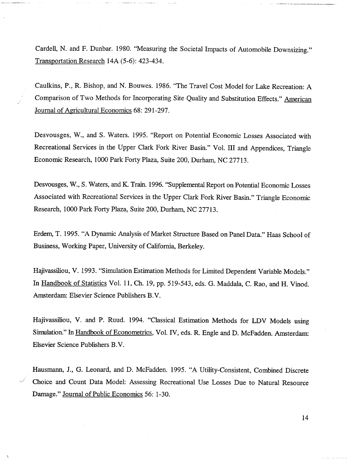Cardell, N. and F. Dunbar. 1980. "Measuring the Societal Impacts of Automobile Downsizing. Transportation Research 14A (5-6): 423-434.

Caulkins, P., R. Bishop, and N. Bouwes. 1986. "The Travel Cost Model for Lake Recreation: A Comparison of Two Methods for Incorporating Site Quality and Substitution Effects." American Journal of Agricultural Economics 68: 291-297.

Desvousges, W., and S. Waters. 1995. "Report on Potential Economic Losses Associated with Recreational Services in the Upper Clark Fork River Basin." Vol. III and Appendices, Triangle Economic Research, 1000 Park Forty Plaza, Suite 200, Durham, NC 27713.

Desvousges, W., S. Waters, and K. Train. 1996. "Supplemental Report on Potential Economic Losses Associated with Recreational Services in the Upper Clark Fork River Basin." Triangle Economic Research, 1000 Park Forty Plaza, Suite 200, Durham, NC 27713.

Erdem, T. 1995. "A Dynamic Analysis of Market Structure Based on Panel Data." Haas School of Business, Working Paper, University of California, Berkeley.

Hajivassiliou, V. 1993. "Simulation Estimation Methods for Limited Dependent Variable Models. In Handbook of Statistics Vol. 11, Ch. 19, pp. 519-543, eds. G. Maddala, C. Rao, and H. Vinod. Amsterdam: Elsevier Science Publishers B.

Hajivassiliou, V. and P. Ruud. 1994. "Classical Estimation Methods for LDV Models using Simulation." In Handbook of Econometrics, Vol. IV, eds. R. Engle and D. McFadden. Amsterdam: Elsevier Science Publishers B.

Hausmann, J., G. Leonard, and D. McFadden. 1995. "A Utility-Consistent, Combined Discrete Choice and Count Data Model: Assessing Recreational Use Losses Due to Natural Resource Damage." Journal of Public Economics 56: 1-30.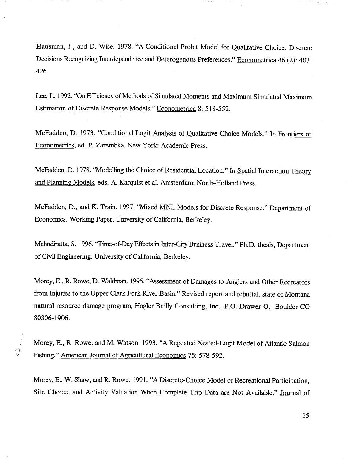Hausman, J., and D. Wise. 1978. "A Conditional Probit Model for Qualitative Choice: Discrete Decisions Recognizing Interdependence and Heterogenous Preferences." Econometrica 46 (2): 403-426.

Lee, L. 1992. "On Efficiency of Methods of Simulated Moments and Maximum Simulated Maximum Estimation of Discrete Response Models." Econometrica 8: 518-552.

McFadden, D. 1973. "Conditional Logit Analysis of Qualitative Choice Models." In Frontiers of Econometrics, ed. P. Zarembka. New York: Academic Press.

McFadden, D. 1978. "Modelling the Choice of Residential Location. " In Spatial Interaction Theory and Planning Models, eds. A. Karquist et al. Amsterdam: North-Holland Press.

McFadden, D., and K. Train. 1997. "Mixed MNL Models for Discrete Response." Department of Economics, Working Paper, University of California, Berkeley.

Mehndiratta, S. 1996. "Time-of-Day Effects in Inter-City Business TraveL" Ph.D. thesis, Department of Civil Engineering, University of California, Berkeley.

Morey, E., R. Rowe, D. Waldman. 1995. "Assessment of Damages to Anglers and Other Recreators from Injuries to the Upper Clark Fork River Basin." Revised report and rebuttal, state of Montana natural resource damage program, Hagler Bailly Consulting, Inc., P.O. Drawer 0, Boulder 80306- 1906.

Morey, E., R. Rowe, and M. Watson. 1993. "A Repeated Nested-Logit Model of Atlantic Salmon Fishing." American Journal of Agricultural Economics 75: 578-592.

Morey, E., W. Shaw, and R. Rowe. 1991. "A Discrete-Choice Model of Recreational Participation Site Choice, and Activity Valuation When Complete Trip Data are Not Available." Journal of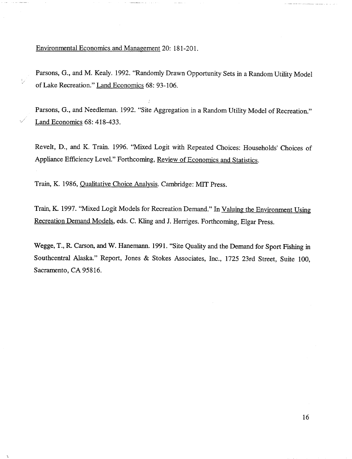Environmental Economics and Management 20: 181-201.

V

Parsons, G., and M. Kealy. 1992. "Randomly Drawn Opportunity Sets in a Random Utility Model of Lake Recreation." Land Economics 68: 93- 106.

Parsons, G., and Needleman. 1992. "Site Aggregation in a Random Utility Model of Recreation." Land Economics 68: 418-433.

Revelt, D., and K. Train. 1996. "Mixed Logit with Repeated Choices: Households' Choices of Appliance Efficiency Level." Forthcoming, Review of Economics and Statistics.

Train, K. 1986, Qualitative Choice Analysis. Cambridge: MIT Press.

Train, K. 1997. "Mixed Logit Models for Recreation Demand." In Valuing the Environment Using Recreation Demand Models, eds. C. Kling and J. Herriges. Forthcoming, Elgar Press.

Wegge, T., R. Carson, and W. Hanemann. 1991. "Site Quality and the Demand for Sport Fishing in Southcentral Alaska." Report, Jones & Stokes Associates, Inc., 1725 23rd Street, Suite 100, Sacramento, CA 95816.

.<br>Hambul mahindi katika kota assaring pada tingga bahasa ing tinggi siya tinggi k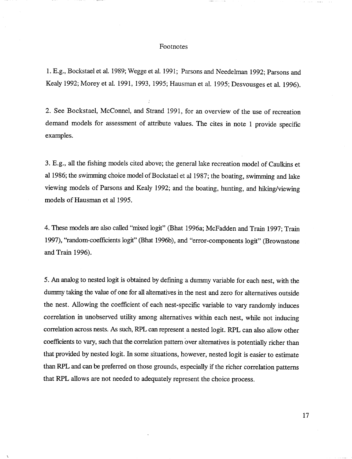#### Footnotes

1. E.g., Bockstael et al. 1989; Wegge et al. 1991; Parsons and Needelman 1992; Parsons and Kealy 1992; Morey et al. 1991, 1993, 1995; Hausman et al. 1995; Desvousges et al. 1996).

2. See Bockstael, McConnel, and Strand 1991 , for an overview of the use of recreation demand models for assessment of attribute values. The cites in note 1 provide specific examples.

3. E.g., all the fishing models cited above; the general lake recreation model of Caulkins et al 1986; the swimming choice model of Bockstael et al 1987; the boating, swimming and lake viewing models of Parsons and Kealy 1992; and the boating, hunting, and hiking/viewing models of Hausman et a11995.

4. These models are also called "mixed logit" (Bhat 1996a; McFadden and Train 1997; Train 1997), "random-coefficients logit" (Bhat 1996b), and "error-components logit" (Brownstone and Train 1996).

5. An analog to nested logit is obtained by defming a dummy variable for each nest, with the dummy taking the value of one for all alternatives in the nest and zero for alternatives outside the nest. Allowing the coefficient of each nest-specific variable to vary randomly induces correlation in unobserved utility among alternatives within each nest, while not inducing correlation across nests. As such, RPL can represent a nested logit. RPL can also allow other coefficients to vary, such that the correlation pattern over alternatives is potentially richer than that provided by nested logit. In some situations, however, nested logit is easier to estimate than RPL and can be preferred on those grounds, especially if the richer correlation patterns that RPL allows are not needed to adequately represent the choice process.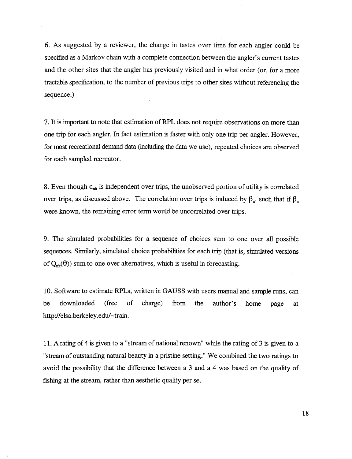6. As suggested by a reviewer, the change in tastes over time for each angler could be specified as a Markov chain with a complete connection between the angler's current tastes and the other sites that the angler has previously visited and in what order (or, for a more tractable specification, to the number of previous trips to other sites without referencing the sequence.  $\overline{L}$ 

7. It is important to note that estimation of RPL does not require observations on more than one trip for each angler. In fact estimation is faster with only one trip per angler. However for most recreational demand data (including the data we use), repeated choices are observed for each sampled recreator.

8. Even though  $\epsilon_{\rm nit}$  is independent over trips, the unobserved portion of utility is correlated over trips, as discussed above. The correlation over trips is induced by  $\beta_n$ , such that if  $\beta_n$ were known, the remaining error term would be uncorrelated over trips.

9. The simulated probabilities for a sequence of choices sum to one over all possible sequences. Similarly, simulated choice probabilities for each trip (that is, simulated versions of  $Q_{nir}(\theta)$ ) sum to one over alternatives, which is useful in forecasting.

10. Software to estimate RPLs, written in GAUSS with users manual and sample runs, can be downloaded (free of charge) from the author's home page http://elsa.berkeley.edu/-train.

11. A rating of 4 is given to a "stream of national renown" while the rating of 3 is given to a stream of outstanding natural beauty in a pristine setting." We combined the two ratings to avoid the possibility that the difference between a 3 and a 4 was based on the quality of fishing at the stream, rather than aesthetic quality per se.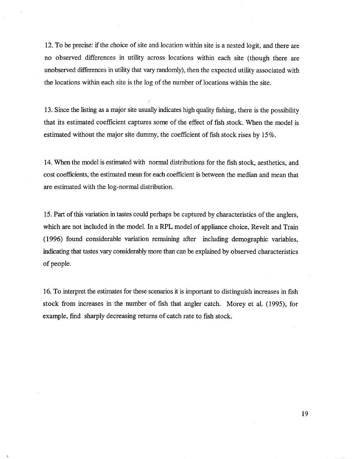12. To be precise: if the choice of site and location within site is a nested logit, and there are no observed differences in utility across locations within each site (though there are unobserved differences in utility that vary randomly), then the expected utility associated with the locations within each site is the log of the number of locations within the site.

13. Since the listing as a major site usually indicates high quality fishing, there is the possibility that its estimated coefficient captures some of the effect of fish stock. When the model is estimated without the major site dummy, the coefficient of fish stock rises by  $15\%$ .

14. When the model is estimated with normal distributions for the fish stock, aesthetics, and cost coefficients, the estimated mean for each coefficient is between the median and mean that are estimated with the log-normal distribution.

15. Part of this variation in tastes could perhaps be captured by characteristics of the anglers, which are not included in the model. In a RPL model of appliance choice, Revelt and Train (1996) found considerable variation remaining after including demographic variables indicating that tastes vary considerably more than can be explained by observed characteristics of people.

16. To interpret the estimates for these scenarios it is important to distinguish increases in fish stock from increases in the number of fish that angler catch. Morey et al. (1995), for example, fmd sharply decreasing returns of catch rate to fish stock.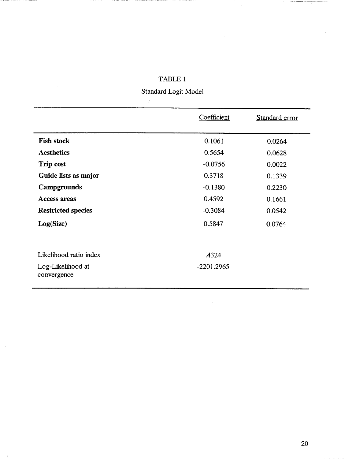|                                                            | Coefficient           | Standard error |
|------------------------------------------------------------|-----------------------|----------------|
| <b>Fish stock</b>                                          | 0.1061                | 0.0264         |
| <b>Aesthetics</b>                                          | 0.5654                | 0.0628         |
| Trip cost                                                  | $-0.0756$             | 0.0022         |
| Guide lists as major                                       | 0.3718                | 0.1339         |
| Campgrounds                                                | $-0.1380$             | 0.2230         |
| <b>Access areas</b>                                        | 0.4592                | 0.1661         |
| <b>Restricted species</b>                                  | $-0.3084$             | 0.0542         |
| Log(Size)                                                  | 0.5847                | 0.0764         |
| Likelihood ratio index<br>Log-Likelihood at<br>convergence | .4324<br>$-2201.2965$ |                |

# TABLE 1

and competitions and

comparation and compared to

 $\hat{\mathbf{v}}$ 

Standard Logit Model